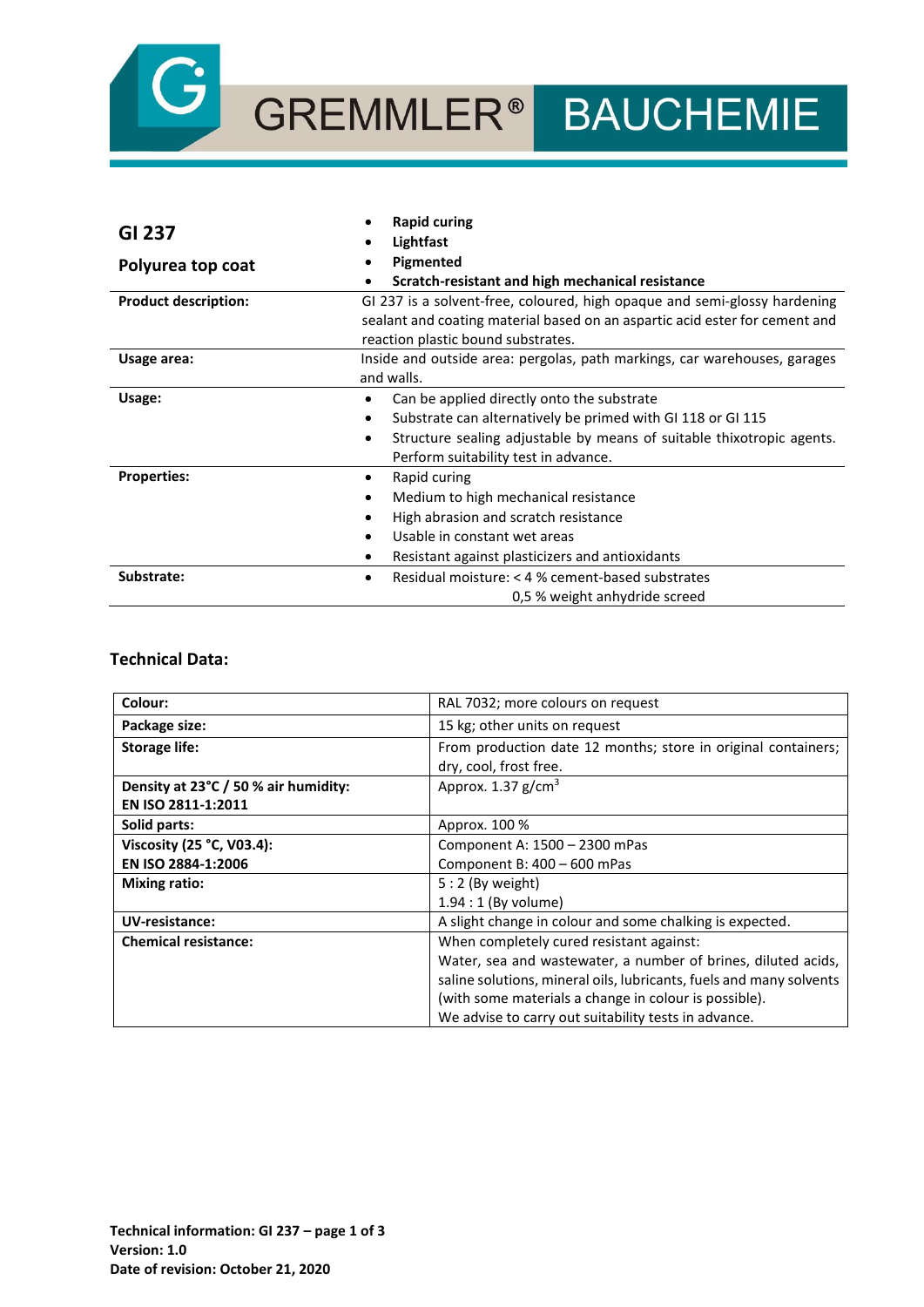

# GREMMLER® BAUCHEMIE

|                             | <b>Rapid curing</b>                                                         |  |
|-----------------------------|-----------------------------------------------------------------------------|--|
| <b>GI 237</b>               | Lightfast                                                                   |  |
| Polyurea top coat           | Pigmented                                                                   |  |
|                             | Scratch-resistant and high mechanical resistance                            |  |
| <b>Product description:</b> | GI 237 is a solvent-free, coloured, high opaque and semi-glossy hardening   |  |
|                             | sealant and coating material based on an aspartic acid ester for cement and |  |
|                             | reaction plastic bound substrates.                                          |  |
| Usage area:                 | Inside and outside area: pergolas, path markings, car warehouses, garages   |  |
|                             | and walls.                                                                  |  |
| Usage:                      | Can be applied directly onto the substrate                                  |  |
|                             | Substrate can alternatively be primed with GI 118 or GI 115<br>٠            |  |
|                             | Structure sealing adjustable by means of suitable thixotropic agents.<br>٠  |  |
|                             | Perform suitability test in advance.                                        |  |
| <b>Properties:</b>          | Rapid curing<br>٠                                                           |  |
|                             | Medium to high mechanical resistance                                        |  |
|                             | High abrasion and scratch resistance                                        |  |
|                             | Usable in constant wet areas                                                |  |
|                             | Resistant against plasticizers and antioxidants                             |  |
| Substrate:                  | Residual moisture: < 4 % cement-based substrates                            |  |
|                             | 0,5 % weight anhydride screed                                               |  |

## **Technical Data:**

| Colour:                              | RAL 7032; more colours on request                                   |
|--------------------------------------|---------------------------------------------------------------------|
| Package size:                        | 15 kg; other units on request                                       |
| <b>Storage life:</b>                 | From production date 12 months; store in original containers;       |
|                                      | dry, cool, frost free.                                              |
| Density at 23°C / 50 % air humidity: | Approx. $1.37$ g/cm <sup>3</sup>                                    |
| EN ISO 2811-1:2011                   |                                                                     |
| Solid parts:                         | Approx. 100 %                                                       |
| Viscosity (25 °C, V03.4):            | Component A: 1500 - 2300 mPas                                       |
| EN ISO 2884-1:2006                   | Component B: 400 - 600 mPas                                         |
| <b>Mixing ratio:</b>                 | $5:2$ (By weight)                                                   |
|                                      | $1.94:1$ (By volume)                                                |
| UV-resistance:                       | A slight change in colour and some chalking is expected.            |
| <b>Chemical resistance:</b>          | When completely cured resistant against:                            |
|                                      | Water, sea and wastewater, a number of brines, diluted acids,       |
|                                      | saline solutions, mineral oils, lubricants, fuels and many solvents |
|                                      | (with some materials a change in colour is possible).               |
|                                      | We advise to carry out suitability tests in advance.                |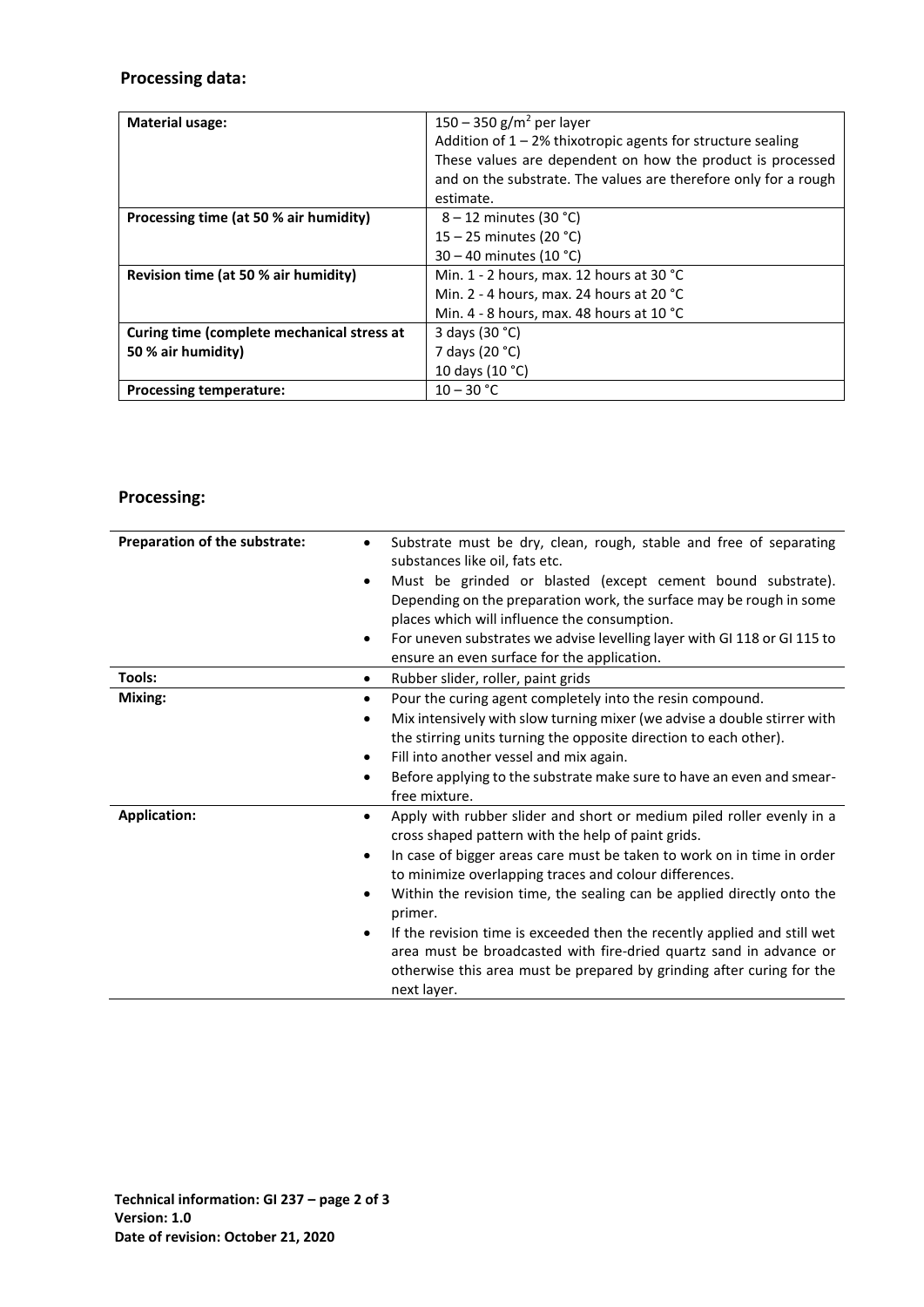# **Processing data:**

| <b>Material usage:</b>                     | 150 – 350 g/m <sup>2</sup> per layer                            |
|--------------------------------------------|-----------------------------------------------------------------|
|                                            | Addition of $1 - 2%$ thixotropic agents for structure sealing   |
|                                            | These values are dependent on how the product is processed      |
|                                            | and on the substrate. The values are therefore only for a rough |
|                                            | estimate.                                                       |
| Processing time (at 50 % air humidity)     | $8 - 12$ minutes (30 °C)                                        |
|                                            | 15 – 25 minutes (20 °C)                                         |
|                                            | 30 – 40 minutes (10 °C)                                         |
| Revision time (at 50 % air humidity)       | Min. 1 - 2 hours, max. 12 hours at 30 $^{\circ}$ C              |
|                                            | Min. 2 - 4 hours, max. 24 hours at 20 $^{\circ}$ C              |
|                                            | Min. 4 - 8 hours, max. 48 hours at 10 $^{\circ}$ C              |
| Curing time (complete mechanical stress at | 3 days (30 °C)                                                  |
| 50 % air humidity)                         | 7 days (20 °C)                                                  |
|                                            | 10 days (10 °C)                                                 |
| <b>Processing temperature:</b>             | $10 - 30 °C$                                                    |

# **Processing:**

| Preparation of the substrate: | Substrate must be dry, clean, rough, stable and free of separating<br>$\bullet$<br>substances like oil, fats etc.<br>Must be grinded or blasted (except cement bound substrate).<br>٠<br>Depending on the preparation work, the surface may be rough in some<br>places which will influence the consumption.<br>For uneven substrates we advise levelling layer with GI 118 or GI 115 to<br>٠<br>ensure an even surface for the application.                                                                                                                                                                               |
|-------------------------------|----------------------------------------------------------------------------------------------------------------------------------------------------------------------------------------------------------------------------------------------------------------------------------------------------------------------------------------------------------------------------------------------------------------------------------------------------------------------------------------------------------------------------------------------------------------------------------------------------------------------------|
| Tools:                        | Rubber slider, roller, paint grids<br>$\bullet$                                                                                                                                                                                                                                                                                                                                                                                                                                                                                                                                                                            |
| Mixing:                       | Pour the curing agent completely into the resin compound.<br>$\bullet$<br>Mix intensively with slow turning mixer (we advise a double stirrer with<br>$\bullet$<br>the stirring units turning the opposite direction to each other).<br>Fill into another vessel and mix again.<br>٠<br>Before applying to the substrate make sure to have an even and smear-<br>٠<br>free mixture.                                                                                                                                                                                                                                        |
| <b>Application:</b>           | Apply with rubber slider and short or medium piled roller evenly in a<br>$\bullet$<br>cross shaped pattern with the help of paint grids.<br>In case of bigger areas care must be taken to work on in time in order<br>٠<br>to minimize overlapping traces and colour differences.<br>Within the revision time, the sealing can be applied directly onto the<br>٠<br>primer.<br>If the revision time is exceeded then the recently applied and still wet<br>٠<br>area must be broadcasted with fire-dried quartz sand in advance or<br>otherwise this area must be prepared by grinding after curing for the<br>next layer. |